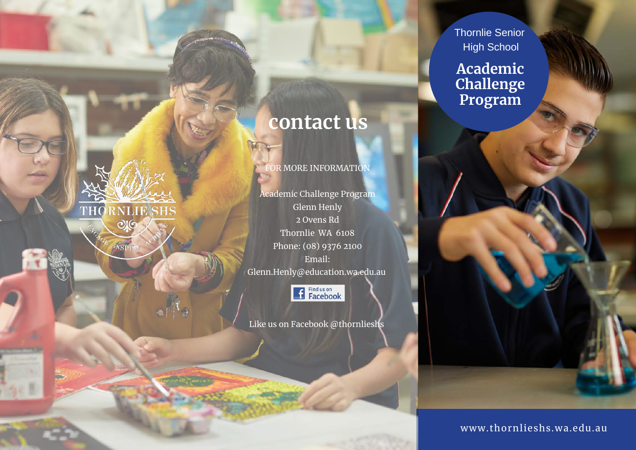THO **RNLIE SHS**  $OIG$ 

# **contact us**

FOR MORE INFORMATION

Academic Challenge Program Glenn Henly 2 Ovens Rd Thornlie WA 6108 Phone: (08) 9376 2100 Email: Glenn.Henly@education.wa.edu.au

Find us on<br>Facebook

Like us on Facebook @thornlieshs

Thornlie Senior High School

**Academic Challenge Program**

www.thornlieshs.wa.edu.au